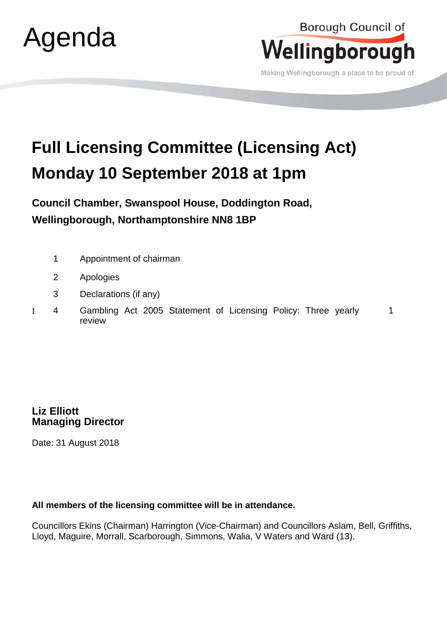



Making Wellingborough a place to be proud of

## **Full Licensing Committee (Licensing Act) Monday 10 September 2018 at 1pm**

**Council Chamber, Swanspool House, Doddington Road, Wellingborough, Northamptonshire NN8 1BP**

- 1 Appointment of chairman
- 2 Apologies
- 3 Declarations (if any)
- Ι 4 Gambling Act 2005 Statement of Licensing Policy: Three yearly review 1

**Liz Elliott Managing Director** 

Date: 31 August 2018

## **All members of the licensing committee will be in attendance.**

Councillors Ekins (Chairman) Harrington (Vice-Chairman) and Councillors Aslam, Bell, Griffiths, Lloyd, Maguire, Morrall, Scarborough, Simmons, Walia, V Waters and Ward (13).